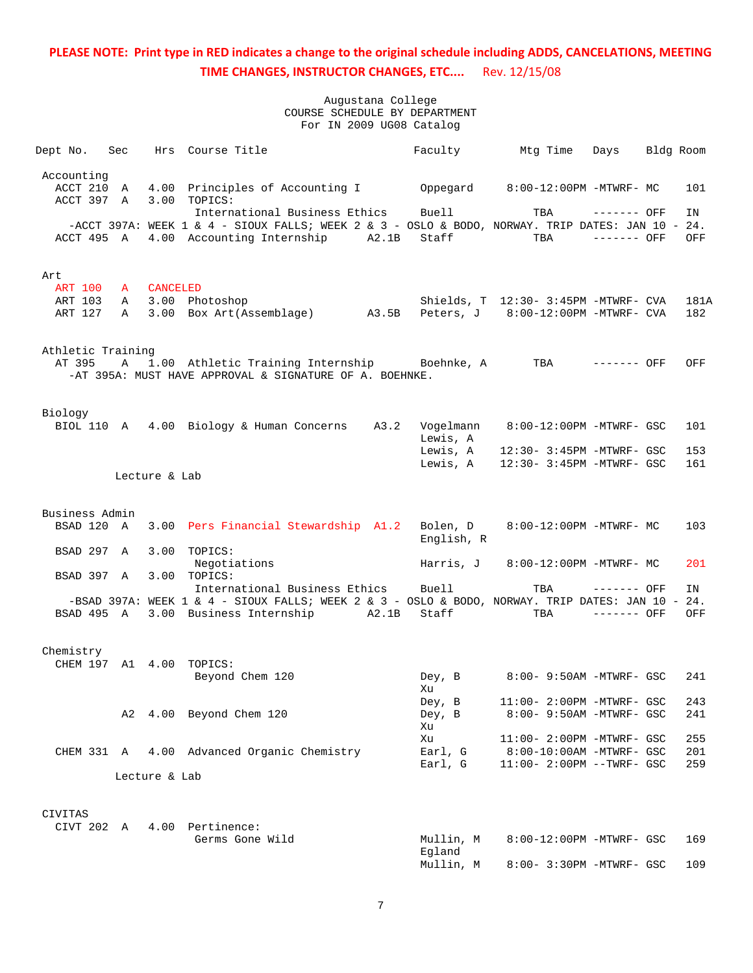| Dept No. Sec                          |              |                 | Hrs Course Title                                                                                                                                                      |       | Faculty                          | Mtq Time                                                                                  | Days                         | Bldg Room |                   |
|---------------------------------------|--------------|-----------------|-----------------------------------------------------------------------------------------------------------------------------------------------------------------------|-------|----------------------------------|-------------------------------------------------------------------------------------------|------------------------------|-----------|-------------------|
| Accounting<br>ACCT 210<br>ACCT 397 A  | A            |                 | 4.00 Principles of Accounting I Coppegard 8:00-12:00PM -MTWRF- MC<br>3.00 TOPICS:                                                                                     |       |                                  |                                                                                           |                              |           | 101               |
| ACCT 495 A                            |              |                 | International Business Ethics<br>-ACCT 397A: WEEK 1 & 4 - SIOUX FALLS; WEEK 2 & 3 - OSLO & BODO, NORWAY. TRIP DATES: JAN 10 - 24.<br>4.00 Accounting Internship A2.1B |       | Buell<br>Staff                   | TBA<br>TBA                                                                                | $------$ OFF<br>$------$ OFF |           | ΙN<br>OFF         |
| Art                                   |              |                 |                                                                                                                                                                       |       |                                  |                                                                                           |                              |           |                   |
| <b>ART 100</b><br>ART 103<br>ART 127  | A<br>A<br>A  | <b>CANCELED</b> | 3.00 Photoshop<br>3.00 Box Art(Assemblage) A3.5B                                                                                                                      |       |                                  | Shields, T 12:30- 3:45PM -MTWRF- CVA<br>Peters, J 8:00-12:00PM -MTWRF- CVA                |                              |           | 181A<br>182       |
| Athletic Training<br>AT 395           | $\mathbf{A}$ |                 | 1.00 Athletic Training Internship Boehnke, A<br>-AT 395A: MUST HAVE APPROVAL & SIGNATURE OF A. BOEHNKE.                                                               |       |                                  | TBA ------- OFF                                                                           |                              |           | OFF               |
| Biology                               |              |                 | BIOL 110 A 4.00 Biology & Human Concerns A3.2                                                                                                                         |       | Vogelmann                        | 8:00-12:00PM -MTWRF- GSC                                                                  |                              |           | 101               |
|                                       |              | Lecture & Lab   |                                                                                                                                                                       |       | Lewis, A<br>Lewis, A<br>Lewis, A | 12:30- 3:45PM -MTWRF- GSC<br>12:30- 3:45PM -MTWRF- GSC                                    |                              |           | 153<br>161        |
|                                       |              |                 |                                                                                                                                                                       |       |                                  |                                                                                           |                              |           |                   |
| Business Admin<br>BSAD 120 A          |              |                 | 3.00 Pers Financial Stewardship A1.2                                                                                                                                  |       | Bolen, D<br>English, R           | 8:00-12:00PM -MTWRF- MC                                                                   |                              |           | 103               |
| BSAD 297                              | $\mathbb{A}$ | 3.00            | TOPICS:<br>Negotiations                                                                                                                                               |       | Harris, J                        | 8:00-12:00PM -MTWRF- MC                                                                   |                              |           | 201               |
| BSAD 397 A                            |              |                 | 3.00 TOPICS:<br>International Business Ethics                                                                                                                         |       | Buell                            | TBA                                                                                       | ------- OFF                  |           | ΙN                |
| BSAD 495 A                            |              |                 | -BSAD 397A: WEEK 1 & 4 - SIOUX FALLS; WEEK 2 & 3 - OSLO & BODO, NORWAY. TRIP DATES: JAN 10 - 24.<br>3.00 Business Internship                                          | A2.1B | Staff                            | TBA                                                                                       | $------$ OFF                 |           | OFF               |
| Chemistry<br>CHEM 197 A1 4.00 TOPICS: |              |                 | Beyond Chem 120                                                                                                                                                       |       | Dey, B                           | 8:00- 9:50AM -MTWRF- GSC                                                                  |                              |           | 241               |
|                                       | A2           |                 | 4.00 Beyond Chem 120                                                                                                                                                  |       | Xu<br>Dey, B<br>Dey, B<br>Xu     | $11:00-2:00PM -MTWRF - GSC$<br>8:00- 9:50AM -MTWRF- GSC                                   |                              |           | 243<br>241        |
| CHEM 331 A                            |              |                 | 4.00 Advanced Organic Chemistry                                                                                                                                       |       | Xu<br>Earl, G<br>Earl, G         | 11:00- 2:00PM -MTWRF- GSC<br>$8:00-10:00$ AM -MTWRF- GSC<br>$11:00 - 2:00PM - TWRF - GSC$ |                              |           | 255<br>201<br>259 |
|                                       |              | Lecture & Lab   |                                                                                                                                                                       |       |                                  |                                                                                           |                              |           |                   |
| CIVITAS                               |              |                 |                                                                                                                                                                       |       |                                  |                                                                                           |                              |           |                   |
| CIVT 202 A                            |              |                 | 4.00 Pertinence:<br>Germs Gone Wild                                                                                                                                   |       | Mullin, M<br>Egland<br>Mullin, M | 8:00-12:00PM -MTWRF- GSC<br>8:00- 3:30PM -MTWRF- GSC                                      |                              |           | 169<br>109        |
|                                       |              |                 |                                                                                                                                                                       |       |                                  |                                                                                           |                              |           |                   |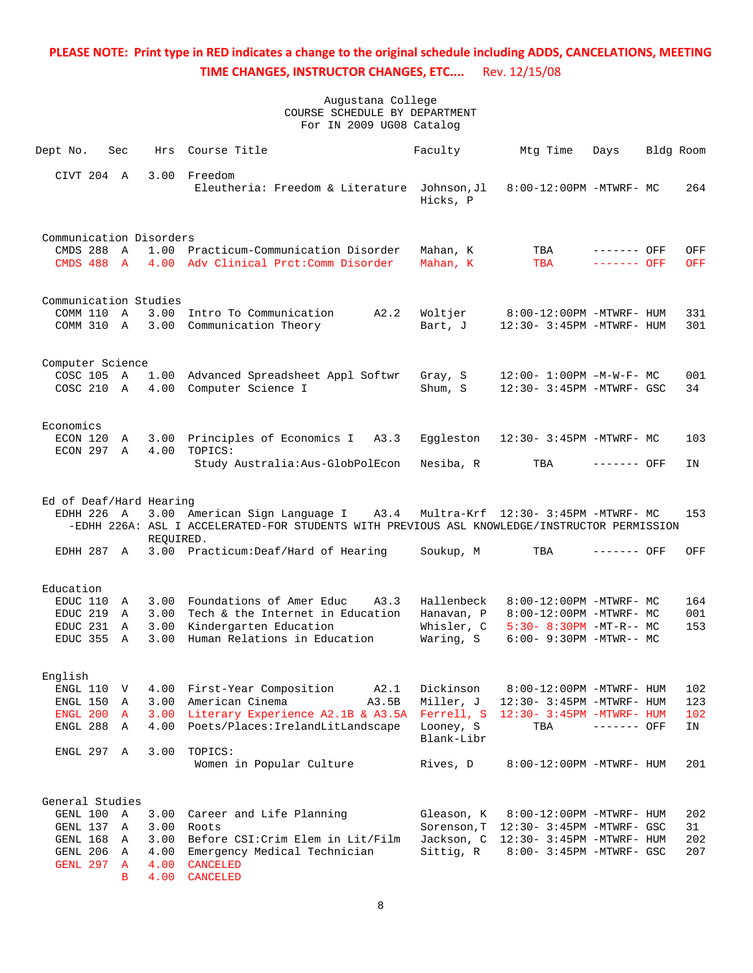| Dept No.                 | Sec |           | Hrs Course Title                                                                                                                   | Faculty                 | Mtg Time                             | Days                         | Bldg Room |                   |
|--------------------------|-----|-----------|------------------------------------------------------------------------------------------------------------------------------------|-------------------------|--------------------------------------|------------------------------|-----------|-------------------|
| CIVT 204 A               |     |           | 3.00 Freedom<br>Eleutheria: Freedom & Literature Johnson, Jl                                                                       | Hicks, P                | 8:00-12:00PM -MTWRF- MC              |                              |           | 264               |
| Communication Disorders  |     |           |                                                                                                                                    |                         |                                      |                              |           |                   |
| CMDS 288 A<br>CMDS 488 A |     |           | 1.00 Practicum-Communication Disorder<br>4.00 Adv Clinical Prct: Comm Disorder                                                     | Mahan, K<br>Mahan, K    | TBA<br>TBA                           | $------$ OFF<br>$------$ OFF |           | OFF<br><b>OFF</b> |
| Communication Studies    |     |           |                                                                                                                                    |                         |                                      |                              |           |                   |
| COMM 110 A               |     |           | 3.00 Intro To Communication<br>A2.2                                                                                                | Woltjer                 | 8:00-12:00PM -MTWRF- HUM             |                              |           | 331               |
| COMM 310 A               |     |           | 3.00 Communication Theory                                                                                                          | Bart, J                 | 12:30- 3:45PM -MTWRF- HUM            |                              |           | 301               |
| Computer Science         |     |           |                                                                                                                                    |                         |                                      |                              |           |                   |
| COSC 105 A               |     |           | 1.00 Advanced Spreadsheet Appl Softwr                                                                                              | Gray, S                 | $12:00 - 1:00PM -M-W-F-MC$           |                              |           | 001               |
| COSC 210 A               |     |           | 4.00 Computer Science I                                                                                                            | Shum, S                 | 12:30- 3:45PM -MTWRF- GSC            |                              |           | 34                |
| Economics                |     |           |                                                                                                                                    |                         |                                      |                              |           |                   |
| ECON 120 A               |     |           | 3.00 Principles of Economics I A3.3                                                                                                | Eqqleston               | 12:30- 3:45PM -MTWRF- MC             |                              |           | 103               |
| ECON 297 A               |     | 4.00      | TOPICS:<br>Study Australia: Aus-GlobPolEcon                                                                                        | Nesiba, R               | TBA                                  | ------- OFF                  |           | ΙN                |
|                          |     |           |                                                                                                                                    |                         |                                      |                              |           |                   |
| Ed of Deaf/Hard Hearing  |     |           |                                                                                                                                    |                         |                                      |                              |           |                   |
| EDHH 226 A               |     | REQUIRED. | 3.00 American Sign Language I A3.4<br>-EDHH 226A: ASL I ACCELERATED-FOR STUDENTS WITH PREVIOUS ASL KNOWLEDGE/INSTRUCTOR PERMISSION |                         | Multra-Krf 12:30- 3:45PM -MTWRF- MC  |                              |           | 153               |
| EDHH 287 A               |     |           | 3.00 Practicum: Deaf/Hard of Hearing                                                                                               | Soukup, M               | TBA                                  | ------- OFF                  |           | OFF               |
| Education                |     |           |                                                                                                                                    |                         |                                      |                              |           |                   |
| EDUC 110 A               |     |           | 3.00 Foundations of Amer Educ<br>A3.3                                                                                              | Hallenbeck              | 8:00-12:00PM -MTWRF- MC              |                              |           | 164               |
| EDUC 219 A               |     |           | 3.00 Tech & the Internet in Education                                                                                              | Hanavan, P              | 8:00-12:00PM -MTWRF- MC              |                              |           | 001               |
| EDUC 231 A               |     |           | 3.00 Kindergarten Education                                                                                                        | Whisler, C              | $5:30-8:30PM -MT-R-- MC$             |                              |           | 153               |
| EDUC 355 A               |     | 3.00      | Human Relations in Education                                                                                                       | Waring, S               | $6:00 - 9:30PM -MTWR - - MC$         |                              |           |                   |
| English                  |     |           |                                                                                                                                    |                         |                                      |                              |           |                   |
|                          |     |           | ENGL 110 V 4.00 First-Year Composition A2.1 Dickinson 8:00-12:00PM -MTWRF- HUM                                                     |                         |                                      |                              |           | 102               |
| ENGL 150                 | A   |           | 3.00 American Cinema<br>A3.5B                                                                                                      | Miller, J               | 12:30- 3:45PM -MTWRF- HUM            |                              |           | 123               |
| ENGL 200 A               |     |           | 3.00 Literary Experience A2.1B & A3.5A Ferrell, S 12:30- 3:45PM -MTWRF- HUM                                                        |                         |                                      |                              |           | 102               |
| ENGL 288 A               |     | 4.00      | Poets/Places: IrelandLitLandscape                                                                                                  | Looney, S<br>Blank-Libr | TBA                                  | $------$ OFF                 |           | IN                |
| ENGL 297 A               |     | 3.00      | TOPICS:                                                                                                                            |                         |                                      |                              |           |                   |
|                          |     |           | Women in Popular Culture                                                                                                           | Rives, D                | 8:00-12:00PM -MTWRF- HUM             |                              |           | 201               |
| General Studies          |     |           |                                                                                                                                    |                         |                                      |                              |           |                   |
| GENL 100 A               |     | 3.00      | Career and Life Planning                                                                                                           | Gleason, K              | 8:00-12:00PM -MTWRF- HUM             |                              |           | 202               |
| GENL 137 A               |     | 3.00      | Roots                                                                                                                              | Sorenson, T             | 12:30- 3:45PM -MTWRF- GSC            |                              |           | 31                |
| GENL 168 A               |     | 3.00      | Before CSI: Crim Elem in Lit/Film                                                                                                  |                         | Jackson, C 12:30- 3:45PM -MTWRF- HUM |                              |           | 202               |
| GENL 206 A               |     | 4.00      | Emergency Medical Technician                                                                                                       | Sittig, R               | 8:00- 3:45PM -MTWRF- GSC             |                              |           | 207               |
| GENL 297 A               |     | 4.00      | <b>CANCELED</b>                                                                                                                    |                         |                                      |                              |           |                   |
|                          | B   | 4.00      | <b>CANCELED</b>                                                                                                                    |                         |                                      |                              |           |                   |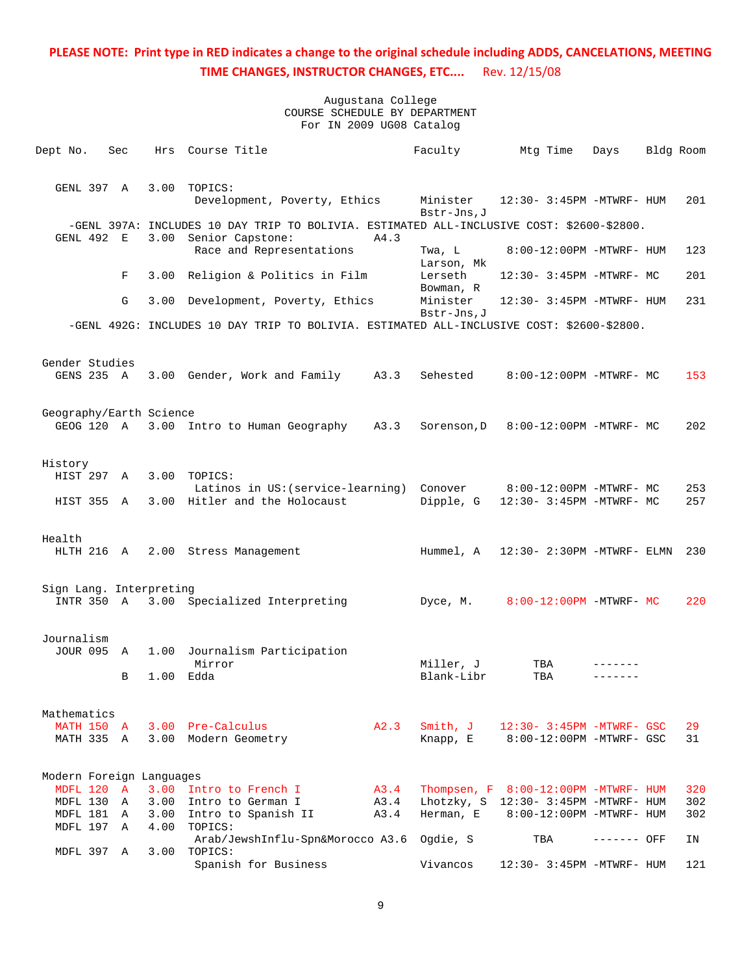| Dept No.                            | Sec | Hrs  | Course Title                                                                                                  |              | Faculty                 | Mtg Time                                                         | Days        | Bldg Room |            |
|-------------------------------------|-----|------|---------------------------------------------------------------------------------------------------------------|--------------|-------------------------|------------------------------------------------------------------|-------------|-----------|------------|
| GENL 397 A                          |     | 3.00 | TOPICS:<br>Development, Poverty, Ethics                                                                       |              | Minister<br>Bstr-Jns, J | 12:30- 3:45PM -MTWRF- HUM                                        |             |           | 201        |
| GENL 492 E                          |     | 3.00 | -GENL 397A: INCLUDES 10 DAY TRIP TO BOLIVIA. ESTIMATED ALL-INCLUSIVE COST: \$2600-\$2800.<br>Senior Capstone: | A4.3         |                         |                                                                  |             |           |            |
|                                     |     |      | Race and Representations                                                                                      |              | Twa, L<br>Larson, Mk    | 8:00-12:00PM -MTWRF- HUM                                         |             |           | 123        |
|                                     | F   | 3.00 | Religion & Politics in Film                                                                                   |              | Lerseth<br>Bowman, R    | 12:30- 3:45PM -MTWRF- MC                                         |             |           | 201        |
|                                     | G   | 3.00 | Development, Poverty, Ethics                                                                                  |              | Minister<br>Bstr-Jns, J | 12:30- 3:45PM -MTWRF- HUM                                        |             |           | 231        |
|                                     |     |      | -GENL 492G: INCLUDES 10 DAY TRIP TO BOLIVIA. ESTIMATED ALL-INCLUSIVE COST: \$2600-\$2800.                     |              |                         |                                                                  |             |           |            |
| Gender Studies                      |     |      |                                                                                                               |              |                         |                                                                  |             |           |            |
| GENS 235 A                          |     |      | 3.00 Gender, Work and Family                                                                                  | A3.3         | Sehested                | 8:00-12:00PM -MTWRF- MC                                          |             |           | 153        |
| Geography/Earth Science             |     |      |                                                                                                               |              |                         |                                                                  |             |           |            |
| GEOG 120 A                          |     | 3.00 | Intro to Human Geography                                                                                      | A3.3         | Sorenson, D             | 8:00-12:00PM -MTWRF- MC                                          |             |           | 202        |
| History<br>HIST 297                 | Α   | 3.00 | TOPICS:                                                                                                       |              |                         |                                                                  |             |           |            |
| HIST 355                            | A   | 3.00 | Latinos in US: (service-learning)<br>Hitler and the Holocaust                                                 |              | Conover<br>Dipple, G    | 8:00-12:00PM -MTWRF- MC<br>12:30- 3:45PM -MTWRF- MC              |             |           | 253<br>257 |
| Health                              |     |      |                                                                                                               |              |                         |                                                                  |             |           |            |
| HLTH 216 A                          |     |      | 2.00 Stress Management                                                                                        |              | Hummel, A               | 12:30- 2:30PM -MTWRF- ELMN                                       |             |           | 230        |
| Sign Lang. Interpreting<br>INTR 350 | A   | 3.00 | Specialized Interpreting                                                                                      |              | Dyce, M.                | 8:00-12:00PM -MTWRF- MC                                          |             |           | 220        |
| Journalism<br><b>JOUR 095</b>       | A   | 1.00 | Journalism Participation                                                                                      |              |                         |                                                                  |             |           |            |
|                                     | B   | 1.00 | Mirror<br>Edda                                                                                                |              | Miller, J<br>Blank-Libr | TBA<br>TBA                                                       |             |           |            |
|                                     |     |      |                                                                                                               |              |                         |                                                                  |             |           |            |
| Mathematics<br><b>MATH 150 A</b>    |     |      | 3.00 Pre-Calculus                                                                                             | A2.3         | Smith, J                | 12:30- 3:45PM -MTWRF- GSC                                        |             |           | 29         |
| MATH 335 A                          |     |      | 3.00 Modern Geometry                                                                                          |              | Knapp, E                | 8:00-12:00PM -MTWRF- GSC                                         |             |           | 31         |
| Modern Foreign Languages            |     |      |                                                                                                               |              |                         |                                                                  |             |           |            |
| MDFL 120 A                          |     |      | 3.00 Intro to French I                                                                                        | A3.4         |                         | Thompsen, $F = 8:00-12:00PM -MTWRF - HUM$                        |             |           | 320        |
| MDFL 130 A<br>MDFL 181 A            |     |      | 3.00 Intro to German I<br>3.00 Intro to Spanish II                                                            | A3.4<br>A3.4 | Herman, E               | Lhotzky, S 12:30- 3:45PM -MTWRF- HUM<br>8:00-12:00PM -MTWRF- HUM |             |           | 302<br>302 |
| MDFL 197 A                          |     | 4.00 | TOPICS:                                                                                                       |              |                         |                                                                  |             |           |            |
| MDFL 397 A                          |     | 3.00 | Arab/JewshInflu-Spn&Morocco A3.6<br>TOPICS:                                                                   |              | Ogdie, S                | TBA                                                              | ------- OFF |           | ΙN         |
|                                     |     |      | Spanish for Business                                                                                          |              | Vivancos                | 12:30- 3:45PM -MTWRF- HUM                                        |             |           | 121        |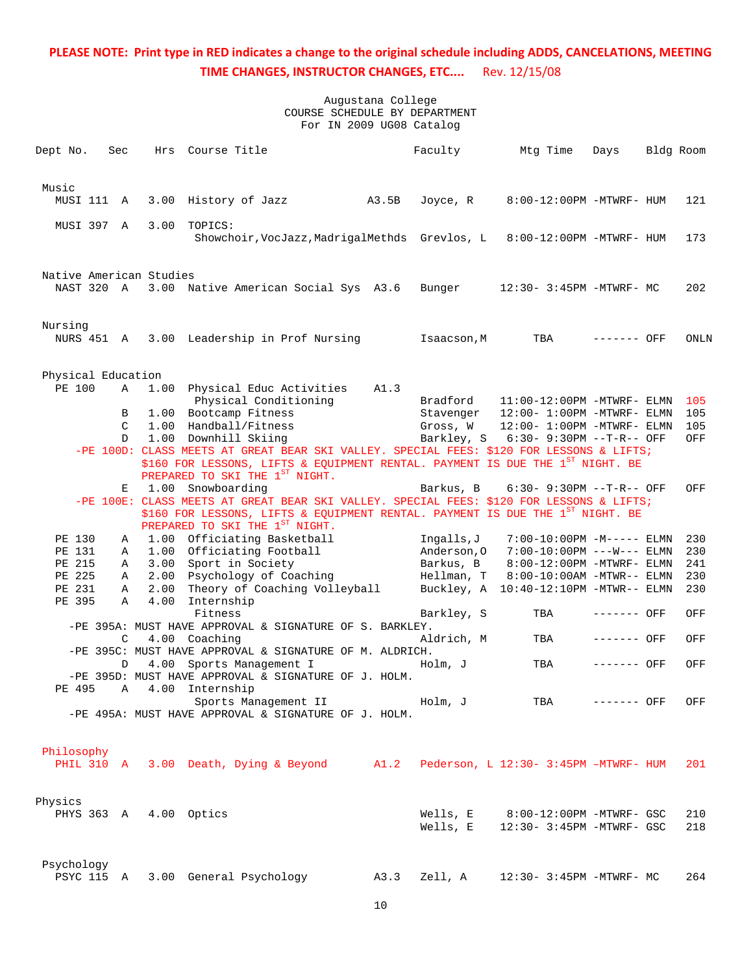| Dept No.                              | Sec           | Hrs  | Course Title                                                                                                     |       | Faculty     | Mtg Time                              | Days        | Bldg Room |      |
|---------------------------------------|---------------|------|------------------------------------------------------------------------------------------------------------------|-------|-------------|---------------------------------------|-------------|-----------|------|
| Music                                 |               |      |                                                                                                                  |       |             |                                       |             |           |      |
| MUSI 111 A                            |               | 3.00 | History of Jazz                                                                                                  | A3.5B | Joyce, R    | 8:00-12:00PM -MTWRF- HUM              |             |           | 121  |
| MUSI 397 A                            |               | 3.00 | TOPICS:<br>Showchoir, VocJazz, MadrigalMethds Grevlos, L                                                         |       |             | 8:00-12:00PM -MTWRF- HUM              |             |           | 173  |
|                                       |               |      |                                                                                                                  |       |             |                                       |             |           |      |
| Native American Studies<br>NAST 320 A |               |      | 3.00 Native American Social Sys A3.6                                                                             |       | Bunger      | 12:30- 3:45PM -MTWRF- MC              |             |           | 202  |
| Nursing                               |               |      |                                                                                                                  |       |             |                                       |             |           |      |
| NURS 451 A                            |               |      | 3.00 Leadership in Prof Nursing                                                                                  |       | Isaacson, M | TBA                                   | ------- OFF |           | ONLN |
| Physical Education                    |               |      |                                                                                                                  |       |             |                                       |             |           |      |
| PE 100                                | A             | 1.00 | Physical Educ Activities                                                                                         | A1.3  |             |                                       |             |           |      |
|                                       |               |      | Physical Conditioning                                                                                            |       | Bradford    | $11:00-12:00$ PM -MTWRF- ELMN         |             |           | 105  |
|                                       | B             |      | 1.00 Bootcamp Fitness                                                                                            |       | Stavenger   | $12:00 - 1:00$ PM -MTWRF- ELMN        |             |           | 105  |
|                                       | $\mathcal{C}$ | 1.00 | Handball/Fitness                                                                                                 |       | Gross, W    | 12:00- 1:00PM -MTWRF- ELMN            |             |           | 105  |
|                                       | D             |      | 1.00 Downhill Skiing<br>-PE 100D: CLASS MEETS AT GREAT BEAR SKI VALLEY. SPECIAL FEES: \$120 FOR LESSONS & LIFTS; |       |             | Barkley, S 6:30- 9:30PM --T-R-- OFF   |             |           | OFF  |
|                                       |               |      | \$160 FOR LESSONS, LIFTS & EQUIPMENT RENTAL. PAYMENT IS DUE THE 1 <sup>ST</sup> NIGHT. BE                        |       |             |                                       |             |           |      |
|                                       |               |      | PREPARED TO SKI THE 1ST NIGHT.                                                                                   |       |             |                                       |             |           |      |
|                                       | Е             | 1.00 | Snowboarding                                                                                                     |       | Barkus, B   | 6:30- 9:30PM --T-R-- OFF              |             |           | OFF  |
|                                       |               |      | -PE 100E: CLASS MEETS AT GREAT BEAR SKI VALLEY. SPECIAL FEES: \$120 FOR LESSONS & LIFTS;                         |       |             |                                       |             |           |      |
|                                       |               |      | \$160 FOR LESSONS, LIFTS & EQUIPMENT RENTAL. PAYMENT IS DUE THE 1 <sup>ST</sup> NIGHT. BE                        |       |             |                                       |             |           |      |
|                                       |               |      | PREPARED TO SKI THE 1ST NIGHT.                                                                                   |       |             |                                       |             |           |      |
| PE 130                                | A             |      | 1.00 Officiating Basketball                                                                                      |       | Ingalls,J   | $7:00-10:00PM -M-----$ ELMN           |             |           | 230  |
| PE 131                                | A             |      | 1.00 Officiating Football                                                                                        |       | Anderson, O | 7:00-10:00PM ---W--- ELMN             |             |           | 230  |
| PE 215                                | Α             | 3.00 | Sport in Society                                                                                                 |       | Barkus, B   | 8:00-12:00PM -MTWRF- ELMN             |             |           | 241  |
| PE 225                                | Α             | 2.00 | Psychology of Coaching                                                                                           |       | Hellman, T  | 8:00-10:00AM -MTWR-- ELMN             |             |           | 230  |
| PE 231                                | Α             | 2.00 | Theory of Coaching Volleyball                                                                                    |       | Buckley, A  | $10:40-12:10PM -MTWR-- ELMN$          |             |           | 230  |
| PE 395                                | Α             | 4.00 | Internship                                                                                                       |       |             |                                       |             |           |      |
|                                       |               |      | Fitness                                                                                                          |       | Barkley, S  | TBA                                   | ------- OFF |           | OFF  |
|                                       |               |      | -PE 395A: MUST HAVE APPROVAL & SIGNATURE OF S. BARKLEY.                                                          |       |             |                                       |             |           |      |
|                                       | C             | 4.00 | Coaching                                                                                                         |       | Aldrich, M  | TBA                                   | ------- OFF |           | OFF  |
|                                       |               |      | -PE 395C: MUST HAVE APPROVAL & SIGNATURE OF M. ALDRICH.                                                          |       |             |                                       |             |           |      |
|                                       | D             | 4.00 | Sports Management I                                                                                              |       | Holm, J     | TBA                                   | ------- OFF |           | OFF  |
|                                       |               |      | -PE 395D: MUST HAVE APPROVAL & SIGNATURE OF J. HOLM.                                                             |       |             |                                       |             |           |      |
| PE 495                                | Α             |      | 4.00 Internship                                                                                                  |       |             |                                       |             |           |      |
|                                       |               |      | Sports Management II<br>-PE 495A: MUST HAVE APPROVAL & SIGNATURE OF J. HOLM.                                     |       | Holm, J     | TBA                                   | ------- OFF |           | OFF  |
|                                       |               |      |                                                                                                                  |       |             |                                       |             |           |      |
| Philosophy                            |               |      |                                                                                                                  |       |             |                                       |             |           |      |
| PHIL 310 A                            |               |      | 3.00 Death, Dying & Beyond A1.2                                                                                  |       |             | Pederson, L 12:30- 3:45PM -MTWRF- HUM |             |           | 201  |
| Physics                               |               |      |                                                                                                                  |       |             |                                       |             |           |      |
| PHYS 363 A                            |               |      | 4.00 Optics                                                                                                      |       | Wells, E    | 8:00-12:00PM -MTWRF- GSC              |             |           | 210  |
|                                       |               |      |                                                                                                                  |       | Wells, E    | 12:30- 3:45PM -MTWRF- GSC             |             |           | 218  |
| Psychology                            |               |      |                                                                                                                  |       |             |                                       |             |           |      |
| PSYC 115 A                            |               |      | 3.00 General Psychology                                                                                          | A3.3  | Zell, A     | 12:30- 3:45PM -MTWRF- MC              |             |           | 264  |